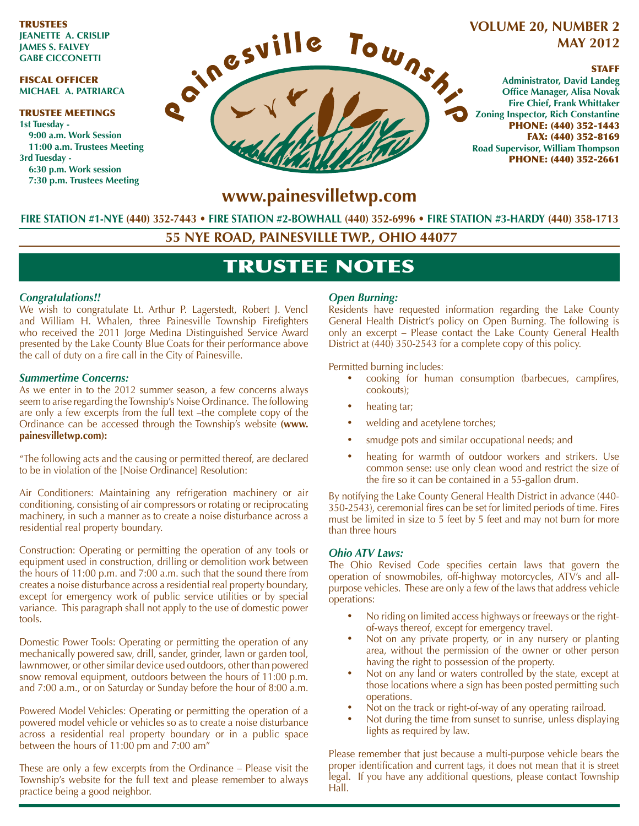TRUSTEES **JEANETTE A. CRISLIP JAMES S. FALVEY GABE CICCONETTI**

#### FISCAL OFFICER **MICHAEL A. PATRIARCA**

#### TRUSTEE MEETINGS **1st Tuesday - 9:00 a.m. Work Session 11:00 a.m. Trustees Meeting 3rd Tuesday - 6:30 p.m. Work session 7:30 p.m. Trustees Meeting**



# **MAY 2012**

### STAFF

**Administrator, David Landeg Office Manager, Alisa Novak Fire Chief, Frank Whittaker Zoning Inspector, Rich Constantine** PHONE: (440) 352-1443 FAX: (440) 352-8169 **Road Supervisor, William Thompson** PHONE: (440) 352-2661

### **www.painesvilletwp.com**

**FIRE STATION #1-NYE (440) 352-7443** • **FIRE STATION #2-BOWHALL (440) 352-6996 • FIRE STATION #3-HARDY (440) 358-1713**

**55 NYE ROAD, PAINESVILLE TWP., OHIO 44077**

### TRUSTEE NOTES

#### *Congratulations!!*

We wish to congratulate Lt. Arthur P. Lagerstedt, Robert J. Vencl and William H. Whalen, three Painesville Township Firefighters who received the 2011 Jorge Medina Distinguished Service Award presented by the Lake County Blue Coats for their performance above the call of duty on a fire call in the City of Painesville.

#### *Summertime Concerns:*

As we enter in to the 2012 summer season, a few concerns always seem to arise regarding the Township's Noise Ordinance. The following are only a few excerpts from the full text –the complete copy of the Ordinance can be accessed through the Township's website **(www. painesvilletwp.com):**

"The following acts and the causing or permitted thereof, are declared to be in violation of the [Noise Ordinance] Resolution:

Air Conditioners: Maintaining any refrigeration machinery or air conditioning, consisting of air compressors or rotating or reciprocating machinery, in such a manner as to create a noise disturbance across a residential real property boundary.

Construction: Operating or permitting the operation of any tools or equipment used in construction, drilling or demolition work between the hours of 11:00 p.m. and 7:00 a.m. such that the sound there from creates a noise disturbance across a residential real property boundary, except for emergency work of public service utilities or by special variance. This paragraph shall not apply to the use of domestic power tools.

Domestic Power Tools: Operating or permitting the operation of any mechanically powered saw, drill, sander, grinder, lawn or garden tool, lawnmower, or other similar device used outdoors, other than powered snow removal equipment, outdoors between the hours of 11:00 p.m. and 7:00 a.m., or on Saturday or Sunday before the hour of 8:00 a.m.

Powered Model Vehicles: Operating or permitting the operation of a powered model vehicle or vehicles so as to create a noise disturbance across a residential real property boundary or in a public space between the hours of 11:00 pm and 7:00 am"

These are only a few excerpts from the Ordinance – Please visit the Township's website for the full text and please remember to always practice being a good neighbor.

### *Open Burning:*

Residents have requested information regarding the Lake County General Health District's policy on Open Burning. The following is only an excerpt – Please contact the Lake County General Health District at (440) 350-2543 for a complete copy of this policy.

Permitted burning includes:

- cooking for human consumption (barbecues, campfires, cookouts);
- heating tar;
- welding and acetylene torches;
- smudge pots and similar occupational needs; and
- heating for warmth of outdoor workers and strikers. Use common sense: use only clean wood and restrict the size of the fire so it can be contained in a 55-gallon drum.

By notifying the Lake County General Health District in advance (440- 350-2543), ceremonial fires can be set for limited periods of time. Fires must be limited in size to 5 feet by 5 feet and may not burn for more than three hours

#### *Ohio ATV Laws:*

The Ohio Revised Code specifies certain laws that govern the operation of snowmobiles, off-highway motorcycles, ATV's and allpurpose vehicles. These are only a few of the laws that address vehicle operations:

- No riding on limited access highways or freeways or the rightof-ways thereof, except for emergency travel.
- Not on any private property, or in any nursery or planting area, without the permission of the owner or other person having the right to possession of the property.
- Not on any land or waters controlled by the state, except at those locations where a sign has been posted permitting such operations.
- Not on the track or right-of-way of any operating railroad.
- Not during the time from sunset to sunrise, unless displaying lights as required by law.

Please remember that just because a multi-purpose vehicle bears the proper identification and current tags, it does not mean that it is street legal. If you have any additional questions, please contact Township Hall.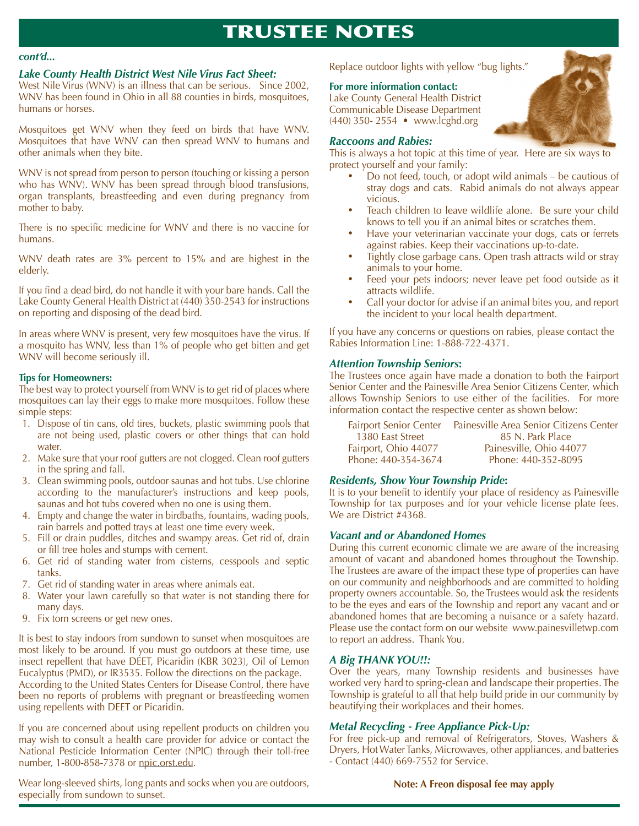## TRUSTEE NOTES

#### *Lake County Health District West Nile Virus Fact Sheet:*

West Nile Virus (WNV) is an illness that can be serious. Since 2002, WNV has been found in Ohio in all 88 counties in birds, mosquitoes, humans or horses.

Mosquitoes get WNV when they feed on birds that have WNV. Mosquitoes that have WNV can then spread WNV to humans and other animals when they bite.

WNV is not spread from person to person (touching or kissing a person who has WNV). WNV has been spread through blood transfusions, organ transplants, breastfeeding and even during pregnancy from mother to baby.

There is no specific medicine for WNV and there is no vaccine for humans.

WNV death rates are 3% percent to 15% and are highest in the elderly.

If you find a dead bird, do not handle it with your bare hands. Call the Lake County General Health District at (440) 350-2543 for instructions on reporting and disposing of the dead bird.

In areas where WNV is present, very few mosquitoes have the virus. If a mosquito has WNV, less than 1% of people who get bitten and get WNV will become seriously ill.

#### **Tips for Homeowners:**

The best way to protect yourself from WNV is to get rid of places where mosquitoes can lay their eggs to make more mosquitoes. Follow these simple steps:

- 1. Dispose of tin cans, old tires, buckets, plastic swimming pools that are not being used, plastic covers or other things that can hold water.
- 2. Make sure that your roof gutters are not clogged. Clean roof gutters in the spring and fall.
- 3. Clean swimming pools, outdoor saunas and hot tubs. Use chlorine according to the manufacturer's instructions and keep pools, saunas and hot tubs covered when no one is using them.
- 4. Empty and change the water in birdbaths, fountains, wading pools, rain barrels and potted trays at least one time every week.
- 5. Fill or drain puddles, ditches and swampy areas. Get rid of, drain or fill tree holes and stumps with cement.
- 6. Get rid of standing water from cisterns, cesspools and septic tanks.
- 7. Get rid of standing water in areas where animals eat.
- 8. Water your lawn carefully so that water is not standing there for many days.
- 9. Fix torn screens or get new ones.

It is best to stay indoors from sundown to sunset when mosquitoes are most likely to be around. If you must go outdoors at these time, use insect repellent that have DEET, Picaridin (KBR 3023), Oil of Lemon Eucalyptus (PMD), or IR3535. Follow the directions on the package.

According to the United States Centers for Disease Control, there have been no reports of problems with pregnant or breastfeeding women using repellents with DEET or Picaridin.

If you are concerned about using repellent products on children you may wish to consult a health care provider for advice or contact the National Pesticide Information Center (NPIC) through their toll-free number, 1-800-858-7378 or npic.orst.edu.

Wear long-sleeved shirts, long pants and socks when you are outdoors, especially from sundown to sunset.

Replace outdoor lights with yellow "bug lights."

#### **For more information contact:**

Lake County General Health District Communicable Disease Department (440) 350- 2554 • www.lcghd.org

#### *Raccoons and Rabies:*

This is always a hot topic at this time of year. Here are six ways to protect yourself and your family:

- Do not feed, touch, or adopt wild animals be cautious of stray dogs and cats. Rabid animals do not always appear vicious.
- Teach children to leave wildlife alone. Be sure your child knows to tell you if an animal bites or scratches them.
- Have your veterinarian vaccinate your dogs, cats or ferrets against rabies. Keep their vaccinations up-to-date.
- Tightly close garbage cans. Open trash attracts wild or stray animals to your home.
- Feed your pets indoors; never leave pet food outside as it attracts wildlife.
- Call your doctor for advise if an animal bites you, and report the incident to your local health department.

If you have any concerns or questions on rabies, please contact the Rabies Information Line: 1-888-722-4371.

#### *Attention Township Seniors***:**

The Trustees once again have made a donation to both the Fairport Senior Center and the Painesville Area Senior Citizens Center, which allows Township Seniors to use either of the facilities. For more information contact the respective center as shown below:

| <b>Fairport Senior Center</b> | Painesville Area Senior Citizens Center |
|-------------------------------|-----------------------------------------|
| 1380 East Street              | 85 N. Park Place                        |
| Fairport, Ohio 44077          | Painesville, Ohio 44077                 |
| Phone: 440-354-3674           | Phone: 440-352-8095                     |

#### *Residents, Show Your Township Pride***:**

It is to your benefit to identify your place of residency as Painesville Township for tax purposes and for your vehicle license plate fees. We are District #4368.

#### *Vacant and or Abandoned Homes*

During this current economic climate we are aware of the increasing amount of vacant and abandoned homes throughout the Township. The Trustees are aware of the impact these type of properties can have on our community and neighborhoods and are committed to holding property owners accountable. So, the Trustees would ask the residents to be the eyes and ears of the Township and report any vacant and or abandoned homes that are becoming a nuisance or a safety hazard. Please use the contact form on our website www.painesvilletwp.com to report an address. Thank You.

#### *A Big THANK YOU!!:*

Over the years, many Township residents and businesses have worked very hard to spring-clean and landscape their properties. The Township is grateful to all that help build pride in our community by beautifying their workplaces and their homes.

#### *Metal Recycling - Free Appliance Pick-Up:*

For free pick-up and removal of Refrigerators, Stoves, Washers & Dryers, Hot Water Tanks, Microwaves, other appliances, and batteries - Contact (440) 669-7552 for Service.

**Note: A Freon disposal fee may apply**

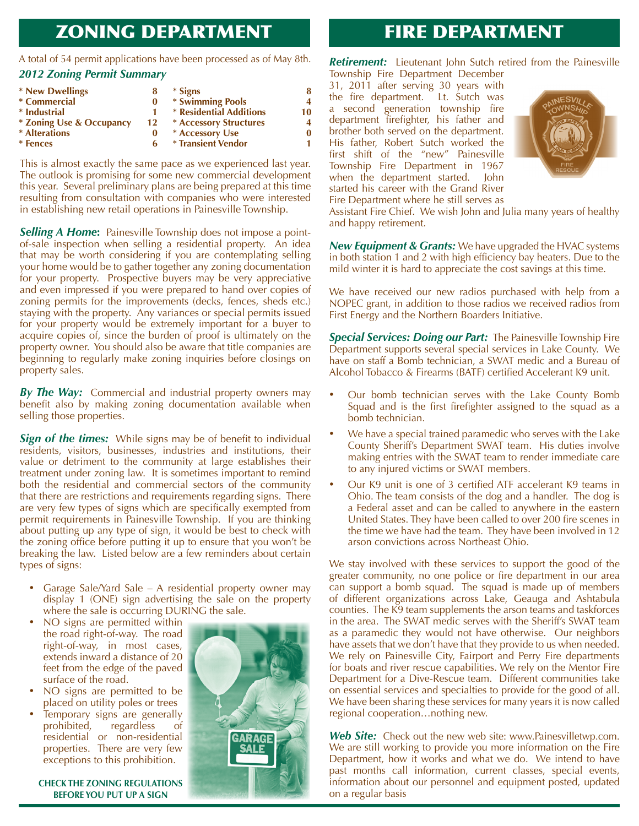### ZONING DEPARTMENT

*cont'd...* A total of 54 permit applications have been processed as of May 8th. *2012 Zoning Permit Summary*

|    |                               | 8                                              |
|----|-------------------------------|------------------------------------------------|
| 0  |                               | Δ                                              |
|    | * Residential Additions       | 10                                             |
| 12 | <b>* Accessory Structures</b> | 4                                              |
| 0  |                               |                                                |
| 6  | <b>* Transient Vendor</b>     |                                                |
|    |                               | * Signs<br>* Swimming Pools<br>* Accessory Use |

This is almost exactly the same pace as we experienced last year. The outlook is promising for some new commercial development this year. Several preliminary plans are being prepared at this time resulting from consultation with companies who were interested in establishing new retail operations in Painesville Township.

**Selling A Home:** Painesville Township does not impose a pointof-sale inspection when selling a residential property. An idea that may be worth considering if you are contemplating selling your home would be to gather together any zoning documentation for your property. Prospective buyers may be very appreciative and even impressed if you were prepared to hand over copies of zoning permits for the improvements (decks, fences, sheds etc.) staying with the property. Any variances or special permits issued for your property would be extremely important for a buyer to acquire copies of, since the burden of proof is ultimately on the property owner. You should also be aware that title companies are beginning to regularly make zoning inquiries before closings on property sales.

*By The Way:* Commercial and industrial property owners may benefit also by making zoning documentation available when selling those properties.

**Sign of the times:** While signs may be of benefit to individual residents, visitors, businesses, industries and institutions, their value or detriment to the community at large establishes their treatment under zoning law. It is sometimes important to remind both the residential and commercial sectors of the community that there are restrictions and requirements regarding signs. There are very few types of signs which are specifically exempted from permit requirements in Painesville Township. If you are thinking about putting up any type of sign, it would be best to check with the zoning office before putting it up to ensure that you won't be breaking the law. Listed below are a few reminders about certain types of signs:

- Garage Sale/Yard Sale A residential property owner may display 1 (ONE) sign advertising the sale on the property where the sale is occurring DURING the sale.
- NO signs are permitted within the road right-of-way. The road right-of-way, in most cases, extends inward a distance of 20 feet from the edge of the paved surface of the road.
- NO signs are permitted to be placed on utility poles or trees
- Temporary signs are generally<br>prohibited, regardless of prohibited, regardless of residential or non-residential properties. There are very few exceptions to this prohibition.

**CHECK THE ZONING REGULATIONS BEFORE YOU PUT UP A SIGN**



### FIRE DEPARTMENT

*Retirement:* Lieutenant John Sutch retired from the Painesville

Township Fire Department December 31, 2011 after serving 30 years with the fire department. Lt. Sutch was a second generation township fire department firefighter, his father and brother both served on the department. His father, Robert Sutch worked the first shift of the "new" Painesville Township Fire Department in 1967 when the department started. John started his career with the Grand River Fire Department where he still serves as



Assistant Fire Chief. We wish John and Julia many years of healthy and happy retirement.

*New Equipment & Grants:* We have upgraded the HVAC systems in both station 1 and 2 with high efficiency bay heaters. Due to the mild winter it is hard to appreciate the cost savings at this time.

We have received our new radios purchased with help from a NOPEC grant, in addition to those radios we received radios from First Energy and the Northern Boarders Initiative.

*Special Services: Doing our Part:* The Painesville Township Fire Department supports several special services in Lake County. We have on staff a Bomb technician, a SWAT medic and a Bureau of Alcohol Tobacco & Firearms (BATF) certified Accelerant K9 unit.

- Our bomb technician serves with the Lake County Bomb Squad and is the first firefighter assigned to the squad as a bomb technician.
- We have a special trained paramedic who serves with the Lake County Sheriff's Department SWAT team. His duties involve making entries with the SWAT team to render immediate care to any injured victims or SWAT members.
- Our K9 unit is one of 3 certified ATF accelerant K9 teams in Ohio. The team consists of the dog and a handler. The dog is a Federal asset and can be called to anywhere in the eastern United States. They have been called to over 200 fire scenes in the time we have had the team. They have been involved in 12 arson convictions across Northeast Ohio.

We stay involved with these services to support the good of the greater community, no one police or fire department in our area can support a bomb squad. The squad is made up of members of different organizations across Lake, Geauga and Ashtabula counties. The K9 team supplements the arson teams and taskforces in the area. The SWAT medic serves with the Sheriff's SWAT team as a paramedic they would not have otherwise. Our neighbors have assets that we don't have that they provide to us when needed. We rely on Painesville City, Fairport and Perry Fire departments for boats and river rescue capabilities. We rely on the Mentor Fire Department for a Dive-Rescue team. Different communities take on essential services and specialties to provide for the good of all. We have been sharing these services for many years it is now called regional cooperation…nothing new.

**Web Site:** Check out the new web site: www.Painesvilletwp.com. We are still working to provide you more information on the Fire Department, how it works and what we do. We intend to have past months call information, current classes, special events, information about our personnel and equipment posted, updated on a regular basis